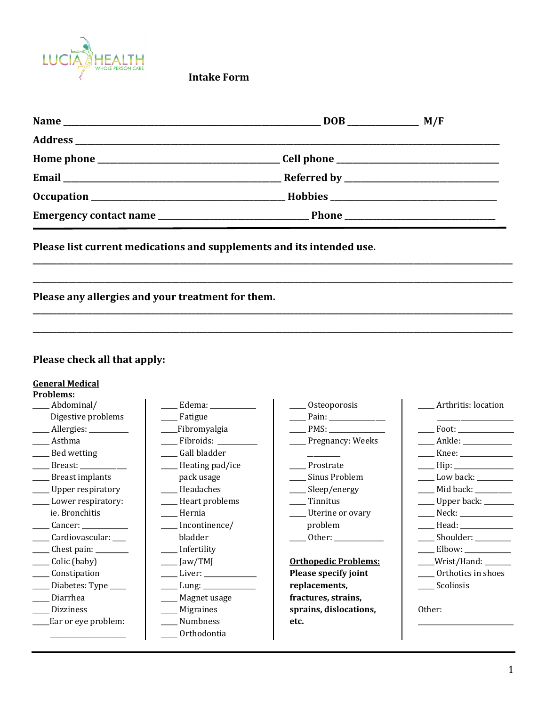

**Intake Form**

**\_\_\_\_\_\_\_\_\_\_\_\_\_\_\_\_\_\_\_\_\_\_\_\_\_\_\_\_\_\_\_\_\_\_\_\_\_\_\_\_\_\_\_\_\_\_\_\_\_\_\_\_\_\_\_\_\_\_\_\_\_\_\_\_\_\_\_\_\_\_\_\_\_\_\_\_\_\_\_\_\_\_\_\_\_\_\_\_\_\_\_\_\_\_\_\_\_\_\_\_\_\_\_\_\_\_\_\_\_\_\_\_\_\_\_\_\_\_\_\_\_**

**\_\_\_\_\_\_\_\_\_\_\_\_\_\_\_\_\_\_\_\_\_\_\_\_\_\_\_\_\_\_\_\_\_\_\_\_\_\_\_\_\_\_\_\_\_\_\_\_\_\_\_\_\_\_\_\_\_\_\_\_\_\_\_\_\_\_\_\_\_\_\_\_\_\_\_\_\_\_\_\_\_\_\_\_\_\_\_\_\_\_\_\_\_\_\_\_\_\_\_\_\_\_\_\_\_\_\_\_\_\_\_\_\_\_\_\_\_\_\_\_\_**

**\_\_\_\_\_\_\_\_\_\_\_\_\_\_\_\_\_\_\_\_\_\_\_\_\_\_\_\_\_\_\_\_\_\_\_\_\_\_\_\_\_\_\_\_\_\_\_\_\_\_\_\_\_\_\_\_\_\_\_\_\_\_\_\_\_\_\_\_\_\_\_\_\_\_\_\_\_\_\_\_\_\_\_\_\_\_\_\_\_\_\_\_\_\_\_\_\_\_\_\_\_\_\_\_\_\_\_\_\_\_\_\_\_\_\_\_\_\_\_\_\_**

**\_\_\_\_\_\_\_\_\_\_\_\_\_\_\_\_\_\_\_\_\_\_\_\_\_\_\_\_\_\_\_\_\_\_\_\_\_\_\_\_\_\_\_\_\_\_\_\_\_\_\_\_\_\_\_\_\_\_\_\_\_\_\_\_\_\_\_\_\_\_\_\_\_\_\_\_\_\_\_\_\_\_\_\_\_\_\_\_\_\_\_\_\_\_\_\_\_\_\_\_\_\_\_\_\_\_\_\_\_\_\_\_\_\_\_\_\_\_\_\_\_**

Please list current medications and supplements and its intended use.

Please any allergies and your treatment for them.

## Please check all that apply:

## **General Medical**

| Problems:              |                                   |                                                                                                                                                                                                                                |                     |
|------------------------|-----------------------------------|--------------------------------------------------------------------------------------------------------------------------------------------------------------------------------------------------------------------------------|---------------------|
| Abdominal/             | Edema: New York Property Assembly | Osteoporosis                                                                                                                                                                                                                   | Arthritis: location |
| Digestive problems     | Fatigue                           | Pain: Department of the state of the state of the state of the state of the state of the state of the state of the state of the state of the state of the state of the state of the state of the state of the state of the sta |                     |
| Allergies: _________   | Fibromyalgia <sub>.</sub>         | PMS:                                                                                                                                                                                                                           |                     |
| Asthma                 | Fibroids:                         | Pregnancy: Weeks                                                                                                                                                                                                               |                     |
| Bed wetting            | Gall bladder                      |                                                                                                                                                                                                                                | Knee: $\_\_$        |
| Breast: $\frac{1}{2}$  | Heating pad/ice                   | Prostrate                                                                                                                                                                                                                      |                     |
| <b>Breast implants</b> | pack usage                        | Sinus Problem                                                                                                                                                                                                                  | Low back: _________ |
| Upper respiratory      | Headaches                         | Sleep/energy                                                                                                                                                                                                                   | Mid back: _________ |
| Lower respiratory:     | Heart problems                    | Tinnitus                                                                                                                                                                                                                       | Upper back: ______  |
| ie. Bronchitis         | Hernia                            | Uterine or ovary                                                                                                                                                                                                               | Neck:               |
| Cancer:                | Incontinence/                     | problem                                                                                                                                                                                                                        | Head: _____________ |
| Cardiovascular: ___    | bladder                           | Other:                                                                                                                                                                                                                         | Shoulder: _________ |
| Chest pain: ________   | Infertility                       |                                                                                                                                                                                                                                |                     |
| Colic (baby)           | Jaw/TMJ                           | <b>Orthopedic Problems:</b>                                                                                                                                                                                                    | Wrist/Hand: _____   |
| Constipation           | Liver:                            | Please specify joint                                                                                                                                                                                                           | Orthotics in shoes  |
| Diabetes: Type _____   |                                   | replacements,                                                                                                                                                                                                                  | Scoliosis           |
| Diarrhea               | Magnet usage                      | fractures, strains,                                                                                                                                                                                                            |                     |
| <b>Dizziness</b>       | <b>Migraines</b>                  | sprains, dislocations,                                                                                                                                                                                                         | Other:              |
| Ear or eye problem:    | Numbness                          | etc.                                                                                                                                                                                                                           |                     |
|                        | Orthodontia                       |                                                                                                                                                                                                                                |                     |
|                        |                                   |                                                                                                                                                                                                                                |                     |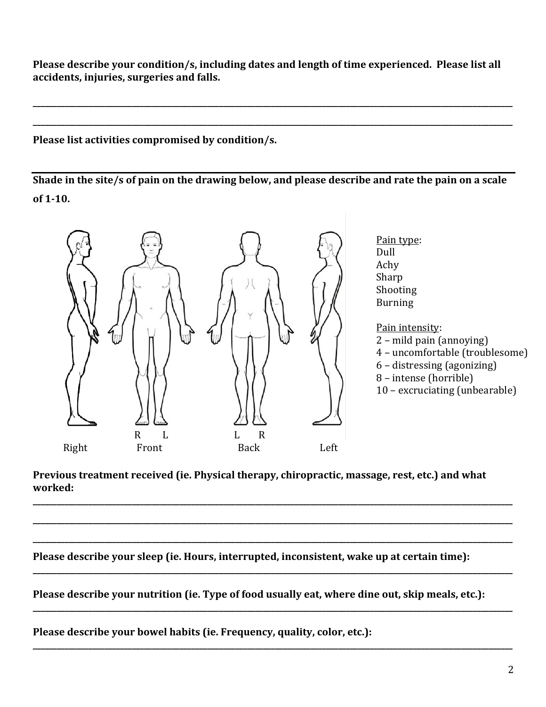Please describe your condition/s, including dates and length of time experienced. Please list all accidents, injuries, surgeries and falls.

**\_\_\_\_\_\_\_\_\_\_\_\_\_\_\_\_\_\_\_\_\_\_\_\_\_\_\_\_\_\_\_\_\_\_\_\_\_\_\_\_\_\_\_\_\_\_\_\_\_\_\_\_\_\_\_\_\_\_\_\_\_\_\_\_\_\_\_\_\_\_\_\_\_\_\_\_\_\_\_\_\_\_\_\_\_\_\_\_\_\_\_\_\_\_\_\_\_\_\_\_\_\_\_\_\_\_\_\_\_\_\_\_\_\_\_\_\_\_\_\_\_**

**\_\_\_\_\_\_\_\_\_\_\_\_\_\_\_\_\_\_\_\_\_\_\_\_\_\_\_\_\_\_\_\_\_\_\_\_\_\_\_\_\_\_\_\_\_\_\_\_\_\_\_\_\_\_\_\_\_\_\_\_\_\_\_\_\_\_\_\_\_\_\_\_\_\_\_\_\_\_\_\_\_\_\_\_\_\_\_\_\_\_\_\_\_\_\_\_\_\_\_\_\_\_\_\_\_\_\_\_\_\_\_\_\_\_\_\_\_\_\_\_\_**

## Please list activities compromised by condition/s.

**Shade in the site/s of pain on the drawing below, and please describe and rate the pain on a scale** of 1-10.



Previous treatment received (ie. Physical therapy, chiropractic, massage, rest, etc.) and what **worked:**

**\_\_\_\_\_\_\_\_\_\_\_\_\_\_\_\_\_\_\_\_\_\_\_\_\_\_\_\_\_\_\_\_\_\_\_\_\_\_\_\_\_\_\_\_\_\_\_\_\_\_\_\_\_\_\_\_\_\_\_\_\_\_\_\_\_\_\_\_\_\_\_\_\_\_\_\_\_\_\_\_\_\_\_\_\_\_\_\_\_\_\_\_\_\_\_\_\_\_\_\_\_\_\_\_\_\_\_\_\_\_\_\_\_\_\_\_\_\_\_\_\_**

**\_\_\_\_\_\_\_\_\_\_\_\_\_\_\_\_\_\_\_\_\_\_\_\_\_\_\_\_\_\_\_\_\_\_\_\_\_\_\_\_\_\_\_\_\_\_\_\_\_\_\_\_\_\_\_\_\_\_\_\_\_\_\_\_\_\_\_\_\_\_\_\_\_\_\_\_\_\_\_\_\_\_\_\_\_\_\_\_\_\_\_\_\_\_\_\_\_\_\_\_\_\_\_\_\_\_\_\_\_\_\_\_\_\_\_\_\_\_\_\_\_**

**\_\_\_\_\_\_\_\_\_\_\_\_\_\_\_\_\_\_\_\_\_\_\_\_\_\_\_\_\_\_\_\_\_\_\_\_\_\_\_\_\_\_\_\_\_\_\_\_\_\_\_\_\_\_\_\_\_\_\_\_\_\_\_\_\_\_\_\_\_\_\_\_\_\_\_\_\_\_\_\_\_\_\_\_\_\_\_\_\_\_\_\_\_\_\_\_\_\_\_\_\_\_\_\_\_\_\_\_\_\_\_\_\_\_\_\_\_\_\_\_\_**

**\_\_\_\_\_\_\_\_\_\_\_\_\_\_\_\_\_\_\_\_\_\_\_\_\_\_\_\_\_\_\_\_\_\_\_\_\_\_\_\_\_\_\_\_\_\_\_\_\_\_\_\_\_\_\_\_\_\_\_\_\_\_\_\_\_\_\_\_\_\_\_\_\_\_\_\_\_\_\_\_\_\_\_\_\_\_\_\_\_\_\_\_\_\_\_\_\_\_\_\_\_\_\_\_\_\_\_\_\_\_\_\_\_\_\_\_\_\_\_\_\_**

**\_\_\_\_\_\_\_\_\_\_\_\_\_\_\_\_\_\_\_\_\_\_\_\_\_\_\_\_\_\_\_\_\_\_\_\_\_\_\_\_\_\_\_\_\_\_\_\_\_\_\_\_\_\_\_\_\_\_\_\_\_\_\_\_\_\_\_\_\_\_\_\_\_\_\_\_\_\_\_\_\_\_\_\_\_\_\_\_\_\_\_\_\_\_\_\_\_\_\_\_\_\_\_\_\_\_\_\_\_\_\_\_\_\_\_\_\_\_\_\_\_**

**\_\_\_\_\_\_\_\_\_\_\_\_\_\_\_\_\_\_\_\_\_\_\_\_\_\_\_\_\_\_\_\_\_\_\_\_\_\_\_\_\_\_\_\_\_\_\_\_\_\_\_\_\_\_\_\_\_\_\_\_\_\_\_\_\_\_\_\_\_\_\_\_\_\_\_\_\_\_\_\_\_\_\_\_\_\_\_\_\_\_\_\_\_\_\_\_\_\_\_\_\_\_\_\_\_\_\_\_\_\_\_\_\_\_\_\_\_\_\_\_\_**

Please describe your sleep (ie. Hours, interrupted, inconsistent, wake up at certain time):

Please describe your nutrition (ie. Type of food usually eat, where dine out, skip meals, etc.):

Please describe your bowel habits (ie. Frequency, quality, color, etc.):